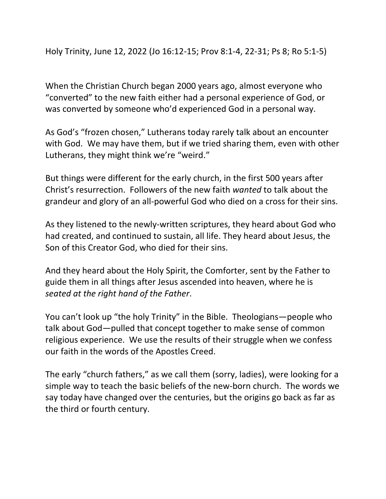Holy Trinity, June 12, 2022 (Jo 16:12-15; Prov 8:1-4, 22-31; Ps 8; Ro 5:1-5)

When the Christian Church began 2000 years ago, almost everyone who "converted" to the new faith either had a personal experience of God, or was converted by someone who'd experienced God in a personal way.

As God's "frozen chosen," Lutherans today rarely talk about an encounter with God. We may have them, but if we tried sharing them, even with other Lutherans, they might think we're "weird."

But things were different for the early church, in the first 500 years after Christ's resurrection. Followers of the new faith *wanted* to talk about the grandeur and glory of an all-powerful God who died on a cross for their sins.

As they listened to the newly-written scriptures, they heard about God who had created, and continued to sustain, all life. They heard about Jesus, the Son of this Creator God, who died for their sins.

And they heard about the Holy Spirit, the Comforter, sent by the Father to guide them in all things after Jesus ascended into heaven, where he is *seated at the right hand of the Father*.

You can't look up "the holy Trinity" in the Bible. Theologians—people who talk about God—pulled that concept together to make sense of common religious experience. We use the results of their struggle when we confess our faith in the words of the Apostles Creed.

The early "church fathers," as we call them (sorry, ladies), were looking for a simple way to teach the basic beliefs of the new-born church. The words we say today have changed over the centuries, but the origins go back as far as the third or fourth century.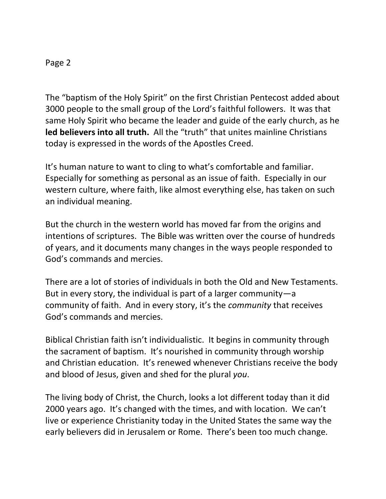## Page 2

The "baptism of the Holy Spirit" on the first Christian Pentecost added about 3000 people to the small group of the Lord's faithful followers. It was that same Holy Spirit who became the leader and guide of the early church, as he **led believers into all truth.** All the "truth" that unites mainline Christians today is expressed in the words of the Apostles Creed.

It's human nature to want to cling to what's comfortable and familiar. Especially for something as personal as an issue of faith. Especially in our western culture, where faith, like almost everything else, has taken on such an individual meaning.

But the church in the western world has moved far from the origins and intentions of scriptures. The Bible was written over the course of hundreds of years, and it documents many changes in the ways people responded to God's commands and mercies.

There are a lot of stories of individuals in both the Old and New Testaments. But in every story, the individual is part of a larger community—a community of faith. And in every story, it's the *community* that receives God's commands and mercies.

Biblical Christian faith isn't individualistic. It begins in community through the sacrament of baptism. It's nourished in community through worship and Christian education. It's renewed whenever Christians receive the body and blood of Jesus, given and shed for the plural *you*.

The living body of Christ, the Church, looks a lot different today than it did 2000 years ago. It's changed with the times, and with location. We can't live or experience Christianity today in the United States the same way the early believers did in Jerusalem or Rome. There's been too much change.